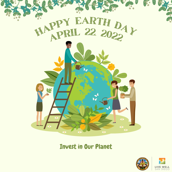

### Invest in Our Planet

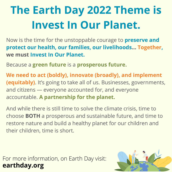## **The Earth Day 2022 Theme is Invest In Our Planet.**

Now is the time for the unstoppable courage to **preserve and protect our health, our families, our livelihoods... Together, we must Invest In Our Planet.**

Because a **green future** is a **prosperous future.**

**We need to act (boldly), innovate (broadly), and implement (equitably)**. It's going to take all of us. Businesses, governments, and citizens — everyone accounted for, and everyone accountable. **A partnership for the planet.**

And while there is still time to solve the climate crisis, time to choose **BOTH** a prosperous and sustainable future, and time to restore nature and build a healthy planet for our children and their children, time is short.

For more information, on Earth Day visit: **[earthday.org](https://www.earthday.org/earth-day-tips/)**

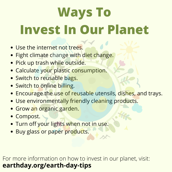# **Ways To Invest In Our Planet**

- **.** Use the internet not trees.
- **Fight climate change with diet change.**
- **Pick up trash while outside.**
- Calculate your plastic consumption.
- Switch to reusable bags.
- Switch to online billing.
- **Encourage the use of reusable utensils, dishes, and trays.**
- Use environmentally friendly cleaning products.
- **Grow an organic garden.**
- Compost.
- **Turn off your lights when not in use.**
- **Buy glass or paper products.**

### For more information on how to invest in our planet, visit: **[earthday.org/earth-day-tips](https://www.earthday.org/earth-day-tips/)**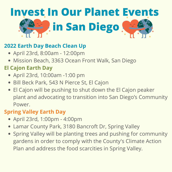# **Invest In Our Planet Events in San Diego**

#### **2022 Earth Day Beach Clean Up**

- April 23rd, 8:00am 12:00pm
- Mission Beach, 3363 Ocean Front Walk, San Diego

### **El Cajon Earth Day**

- April 23rd, 10:00am -1:00 pm
- Bill Beck Park, 543 N [Pierce](https://www.bing.com/maps?&ty=18&q=Bill%20Beck%20Park&satid=id.sid%3A4390273d-2b8d-4bf3-a677-b46d200fbee3&ppois=32.80184555053711_-116.97730255126953_Bill%20Beck%20Park_~&cp=32.801846~-116.977303&v=2&sV=1) St, El Cajon
- El Cajon will be pushing to shut down the El Cajon peaker plant and advocating to transition into San Diego's Community Power.

#### **Spring Valley Earth Day**

- April 23rd, 1:00pm 4:00pm
- Lamar County Park, 3180 [Bancroft](https://www.bing.com/local?lid=YN93x402578057&id=YN93x402578057&q=Lamar+Park&name=Lamar+Park&cp=32.740577697753906%7e-117.00618743896484&ppois=32.740577697753906_-117.00618743896484_Lamar+Park) Dr, Spring Valley
- Spring Valley will be planting trees and pushing for community gardens in order to comply with the County's Climate Action Plan and address the food scarcities in Spring Valley.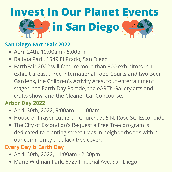# **Invest In Our Planet Events in San Diego**

#### **San Diego EarthFair 2022**

- April 24th, 10:00am 5:00pm
- Balboa Park, 1549 El [Prado,](https://www.bing.com/maps?&ty=18&q=Balboa%20Park&satid=id.sid%3A2c35e1c4-08ef-43f2-6519-096d80793fa5&ppois=32.73113250732422_-117.14957427978516_Balboa%20Park_~&cp=32.731133~-117.149574&v=2&sV=1) San Diego
- EarthFair 2022 will feature more than 300 exhibitors in 11 exhibit areas, three International Food Courts and two Beer Gardens, the Children's Activity Area, four entertainment stages, the Earth Day Parade, the eARTh Gallery arts and crafts show, and the Cleaner Car Concourse.

#### **Arbor Day 2022**

- April 30th, 2022, 9:00am 11:00am
- House of Prayer Lutheran Church, 795 N. Rose St., Escondido
- The City of Escondido's Request a Free Tree program is dedicated to planting street trees in neighborhoods within our community that lack tree cover.

#### **Every Day is Earth Day**

- April 30th, 2022, 11:00am 2:30pm
- Marie Widman Park, 6727 [Imperial](https://www.bing.com/local?lid=YN873x14112210655679351480&id=YN873x14112210655679351480&q=Marie+Widman+Memorial+Park&name=Marie+Widman+Memorial+Park&cp=32.71065902709961%7e-117.05296325683594&ppois=32.71065902709961_-117.05296325683594_Marie+Widman+Memorial+Park) Ave, San Diego